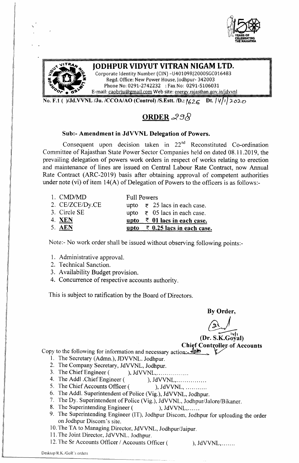



# JODHPUR VIDYUT VITRAN NIGAM LTD.<br>Corporate Identity Number (CIN) -U40109RJ2000SGC016483

Regd. Office: New Power House, Jodhpur- 342003 *~ .i:* Phone No: 0291-2742232 : Fax No: 0291-5106031 E-mail: caobrju@gmail.com Web site: energy.rajasthan.gov.in/jdvvnl

No. F.l ( )/Jd.VVNL /Ju. /CCOA/AO (Control) /S.Estt. *ID.:* '626 Dt. */1.{*l'*<sup>I</sup> J-o:2-v*

## ORDER  $298$

## Sub:- Amendment in JdVVNL Delegation of Powers.

Consequent upon decision taken in  $22<sup>nd</sup>$  Reconstituted Co-ordination Committee of Rajasthan State Power Sector Companies held on dated 08.11.2019, the prevailing delegation of powers work orders in respect of works relating to erection and maintenance of lines are issued on Central Labour Rate Contract, now Annual Rate Contract (ARC-2019) basis after obtaining approval of competent authorities under note (vi) of item 14(A) of Delegation of Powers to the officers is as follows:-

| 1. CMD/MD       | <b>Full Powers</b>                               |
|-----------------|--------------------------------------------------|
| 2. CE/ZCE/Dy.CE | upto $\overline{\epsilon}$ 25 lacs in each case. |
| 3. Circle SE    | upto $\overline{\epsilon}$ 05 lacs in each case. |
| 4. <b>XEN</b>   | upto $\overline{z}$ 01 lacs in each case.        |
| 5. AEN          | upto $\overline{z}$ 0.25 lacs in each case.      |

Note:- No work order shall be issued without observing following points:-

- 1. Administrative approval.
- 2. Technical Sanction.
- 3. Availability Budget provision.
- 4. Concurrence of respective accounts authority.

This is subject to ratification by the Board of Directors.

By Order

By Order,  $(Dr. S.K.Goval)$ Chief Controller of Accounts

Copy to the following for information and necessary action:  $\frac{A}{v}$ 

- 1. The Secretary (Admn.), JDVVNL. Jodhpur.
- 2. The Company Secretary, JdVVNL, Jodhpur.
- 3. The Chief Engineer ( ), JdVVNL, ... ... ... ...
- 4. The Addl .Chief Engineer ( ), JdVVNL, ... ... ... ...
- 5. The Chief Accounts Officer ( ), JdVVNL, ...........
- 6. The Addl. Superintendent of Police (Vig.), JdVVNL, Jodhpur.
- 7. The Dy. Superintendent of Police (Vig.), JdVVNL, Jodhpur/Jalore/Bikaner.
- 8. The Superintending Engineer ( ), JdVVNL, ......
- 9. The Superintending Engineer (IT), Jodhpur Discom, Jodhpur for uploading the order on Jodhpur Discom's site.
- 10.The TA to Managing Director, JdVVNL, Jodhpur/Jaipur.
- 11.The Joint Director, JdVVNL Jodhpur.
- 12. The Sr Accounts Officer / Accounts Officer ( ), JdVVNL,.......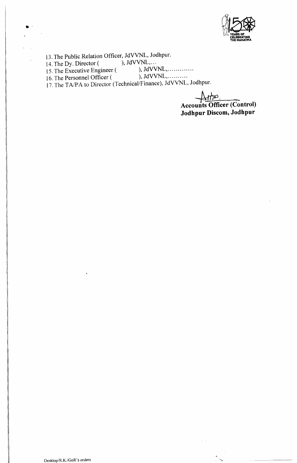

13. The Public Relation Officer, JdVVNL, Jodhpur.<br>14. The Dy. Director (), JdVVNL,...

14. The Dy. Director  $($ , JdVVNL,...

15. The Executive Engineer ( ), JdVVNL, ... ... ........

16. The Personnel Officer ( The UVINL,  $\dots \dots \dots$ 

.-

17.The TA/PA to Director (Technical/Finance), JdVVNL, Jodhpur.

 $+41.5$ **Accounts Officer (Control) Jodhpur Discom, Jodhpur**

 $\tilde{r}_{\rm eff}$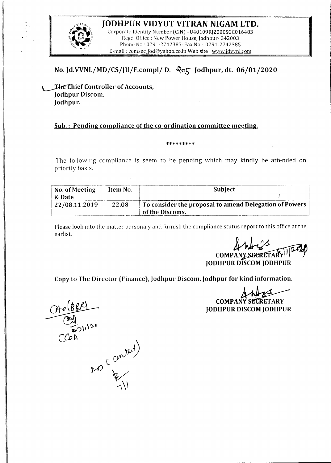## **JODHPUR VIDYUT VITRAN NIGAM LTD.**



Corporate Identity Number (CIN) -U40109RJ2000SGC016483 Regd. Office: New Power House, Jodhpur- 342003 Phone No: 0291-2742385: Fax No: 0291-2742385 E-mail: comsec\_jod@yahoo.co.in Web site: www.jdvvnl.com

## **No. Jd.VVNL/MD/CS/JU/F.complj D.** ~Q5 **Jodhpur, dt. 06/01/2020**

~hief **Controller of Accounts,** Jodhpur Discom, **Jodhpur.**

## **Sub.: Pending compliance of the co-ordination committee meeting.**

#### \*\*\*\*\*\*\*\*\*

The following compliance is seem to be pending which may kindly be attended on priority basis.

| No. of Meeting<br>& Date | Item No. | <b>Subject</b>                                                            |
|--------------------------|----------|---------------------------------------------------------------------------|
| 22/08.11.2019            | 22.08    | To consider the proposal to amend Delegation of Powers<br>of the Discoms. |

Please look into the matter personaly and furnish the compliance stutus report to this office at the earlist.

~ **COMPA JODHPUR DISCOMJODHPUR**

**Copy to The Director (Finance), Jodhpur Discom, Jodhpur for** kind **information.**

**COMPANY SECRETARY JODHPUR DISCOMJODHPUR**

 $O_1 \times (B R P)$ 

socantid)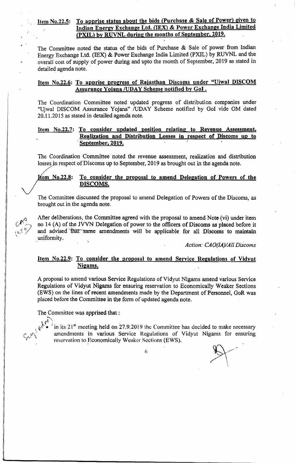## Item No.22.5: To apprise status about the bids (Purchase & Sale of Power) given to Indian Energy Exchange Ltd. (IEX) & Power Exchange India Limited (PXIL) by RUVNL during the months of September, 2019.

The Committee noted the status of the bids of Purchase  $\&$  Sale of power from Indian Energy Exchange Ltd. (lEX) & Power Exchange India Limited (PXIL) by RUVNL and the overall cost of supply of power during and upto the month of September, 2019 as stated in detailed agenda note.

## Item No.22.6: To apprise progress of Raiasthan Discoms under "Ujwal DISCOM Assurance Yojana /UDAY Scheme notified by GoI.

The Coordination Committee noted updated progress of distribution companies under "Ujwal DISCOM Assurance Yojana" /UDAY Scheme notified by GoI vide OM dated 20.l1.2015 as stated in detailed agenda note.

## Item No.22.7: To consider updated position relating to Revenue Assessment. Realization and Distribution Losses in. respect of Discoms up to September, 2019.

The Coordination Committee noted the revenue assessment, realization and distribution losses in respect of Discoms up to September, 2019 as brought out in the agenda note.

## Hem No.22.8: To consider the proposal to amend Delegation of Powers of the DISCOMS.

The Committee discussed the proposal to amend Delegation of Powers of the Discoms, as brought out in the agenda note.

After deliberations, the Committee agreed with the proposal to amend Note (vi) under item no 14 (A) of the JVVN Delegation of power to the officers of Discoms as placed before it and advised that same amendments will be applicable for all Discoms to maintain ,uniformity.

*Action: CAO(IA)IAll Discoms*

## Item No.22.9: To consider the proposal to amend Service Regulations of Vidyut Nigams.

A proposal to amend various Service Regulations of Vidyut Nigams amend various Service Regulations of Vidyut Nigams for ensuring reservation to Economically Weaker Sections (EWS) on the lines of recent amendments made by the Department of Personnel, GoR was placed before the Committee in the form of updated agenda note.

The Committee was apprised that:



*,i'\ .*  $\mathbb{R}^{\mathcal{N}}$  in its 21<sup>st</sup> meeting held on 27.9.2019 the Committee has decided to make necessary amendments in various Service Regulations of Vidyut Nigams for ensuring reservation to Economically Weaker Sections (EWS).

6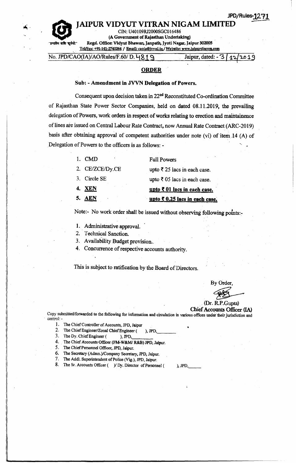I ! IAIPUR VIDYUT VITRAN NIGAM LIMITE eIN: U40109RJ2000SGC016486 (A Government of Rajasthan Undertaking) Regd. Office: Vidyut Bhawan, Janpath, Jyoti Nagar, Jaipur 302005

Tel/Fax: +91-141-2740264 / Email: caoia@jvvnl.in/Website: www.laipurdiscom.com

No. *JPD/CAO(IA)/AO/Rules/F.60/ D.* 4819 Jaipur, dated: - 3/12/2019

#### ORDER

#### Sub: - Amendment in JVVN Delegation of Powers.

Consequent upon decision taken in 22nd Reconstituted Co-ordination Committee of Rajasthan State Power Sector Companies; held on dated 08.11.2019, the prevailing delegation of Powers, work orders in respect of works relating to erection and maintainence of lines are issued on Central Labour Rate Contract, now Annual Rate Contract (ARC-2019) basis after obtaining approval of competent authorities under note (vi) of item 14 (A) of Delegation of Powers to the officers is as follows: -

| 5. AEN          | upto $\overline{\xi}$ 0.25 lacs in each cas |
|-----------------|---------------------------------------------|
| <b>4. XEN</b>   | upto $\bar{\tau}$ 01 lacs in each case.     |
| 3. Circle SE    | upto $\bar{\xi}$ 05 lacs in each case.      |
| 2. CE/ZCE/Dy.CE | upto ₹ 25 lacs in each case.                |
| 1. CMD          | <b>Full Powers</b>                          |

Note:- No work order shall be issued without observing following points:-

- 1.. Administrative approval.
- 2. Technical Sanction.
- 3. Availability Budget provision..
- 4. Concurrence of respective accounts authority.

This is subject to ratification by the Board of Directors.

By Order,

(Dr. R.P.Gupta) Chief Accounts' Officer (IA)

•

),JPD, \_\_

in each case.

Copy submitted/forwarded to the following for information and circulation in various offices under their jurisdiction and , control:-

- 1. The Chief Controller of Accounts, JPD, Jaipur
- 2. The Chief Engineer/Zonal Chief Engineer ( ), JPD,
- 3. The Dy. Chief Engineer ( ), JPD,
- 4. The Chief Accounts Officer (FM-W&M/ R&B) JPD, Jaipur.
- 5. The Chief Personnel Officer, JPD, Jaipur.
- 6. The Secretary (Admn.)/Company Secretary, JPD, Jaipur.
- 7. The Addl. Superintendent of Police (Vig.), JPD, Jaipur.
- 8. The Sr. Accounts Officer  $($  )/ Dy. Director of Personnel (